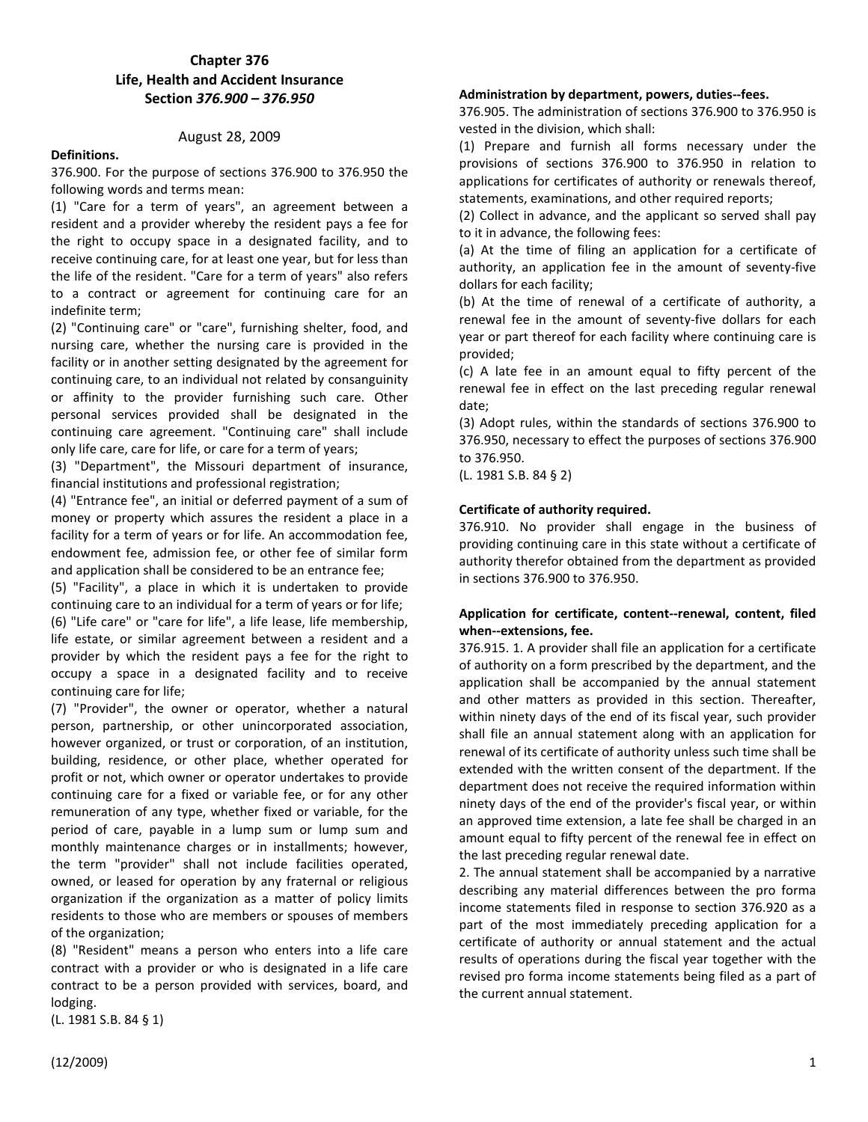# **Chapter 376 Life, Health and Accident Insurance Section** *376.900 – 376.950*

# August 28, 2009

#### **Definitions.**

376.900. For the purpose of sections 376.900 to 376.950 the following words and terms mean:

(1) "Care for a term of years", an agreement between a resident and a provider whereby the resident pays a fee for the right to occupy space in a designated facility, and to receive continuing care, for at least one year, but for less than the life of the resident. "Care for a term of years" also refers to a contract or agreement for continuing care for an indefinite term;

(2) "Continuing care" or "care", furnishing shelter, food, and nursing care, whether the nursing care is provided in the facility or in another setting designated by the agreement for continuing care, to an individual not related by consanguinity or affinity to the provider furnishing such care. Other personal services provided shall be designated in the continuing care agreement. "Continuing care" shall include only life care, care for life, or care for a term of years;

(3) "Department", the Missouri department of insurance, financial institutions and professional registration;

(4) "Entrance fee", an initial or deferred payment of a sum of money or property which assures the resident a place in a facility for a term of years or for life. An accommodation fee, endowment fee, admission fee, or other fee of similar form and application shall be considered to be an entrance fee;

(5) "Facility", a place in which it is undertaken to provide continuing care to an individual for a term of years or for life;

(6) "Life care" or "care for life", a life lease, life membership, life estate, or similar agreement between a resident and a provider by which the resident pays a fee for the right to occupy a space in a designated facility and to receive continuing care for life;

(7) "Provider", the owner or operator, whether a natural person, partnership, or other unincorporated association, however organized, or trust or corporation, of an institution, building, residence, or other place, whether operated for profit or not, which owner or operator undertakes to provide continuing care for a fixed or variable fee, or for any other remuneration of any type, whether fixed or variable, for the period of care, payable in a lump sum or lump sum and monthly maintenance charges or in installments; however, the term "provider" shall not include facilities operated, owned, or leased for operation by any fraternal or religious organization if the organization as a matter of policy limits residents to those who are members or spouses of members of the organization;

(8) "Resident" means a person who enters into a life care contract with a provider or who is designated in a life care contract to be a person provided with services, board, and lodging.

(L. 1981 S.B. 84 § 1)

376.905. The administration of sections 376.900 to 376.950 is vested in the division, which shall:

**Administration by department, powers, duties--fees.** 

(1) Prepare and furnish all forms necessary under the provisions of sections 376.900 to 376.950 in relation to applications for certificates of authority or renewals thereof, statements, examinations, and other required reports;

(2) Collect in advance, and the applicant so served shall pay to it in advance, the following fees:

(a) At the time of filing an application for a certificate of authority, an application fee in the amount of seventy-five dollars for each facility;

(b) At the time of renewal of a certificate of authority, a renewal fee in the amount of seventy-five dollars for each year or part thereof for each facility where continuing care is provided;

(c) A late fee in an amount equal to fifty percent of the renewal fee in effect on the last preceding regular renewal date;

(3) Adopt rules, within the standards of sections 376.900 to 376.950, necessary to effect the purposes of sections 376.900 to 376.950.

(L. 1981 S.B. 84 § 2)

#### **Certificate of authority required.**

376.910. No provider shall engage in the business of providing continuing care in this state without a certificate of authority therefor obtained from the department as provided in sections 376.900 to 376.950.

#### **Application for certificate, content--renewal, content, filed when--extensions, fee.**

376.915. 1. A provider shall file an application for a certificate of authority on a form prescribed by the department, and the application shall be accompanied by the annual statement and other matters as provided in this section. Thereafter, within ninety days of the end of its fiscal year, such provider shall file an annual statement along with an application for renewal of its certificate of authority unless such time shall be extended with the written consent of the department. If the department does not receive the required information within ninety days of the end of the provider's fiscal year, or within an approved time extension, a late fee shall be charged in an amount equal to fifty percent of the renewal fee in effect on the last preceding regular renewal date.

2. The annual statement shall be accompanied by a narrative describing any material differences between the pro forma income statements filed in response to section 376.920 as a part of the most immediately preceding application for a certificate of authority or annual statement and the actual results of operations during the fiscal year together with the revised pro forma income statements being filed as a part of the current annual statement.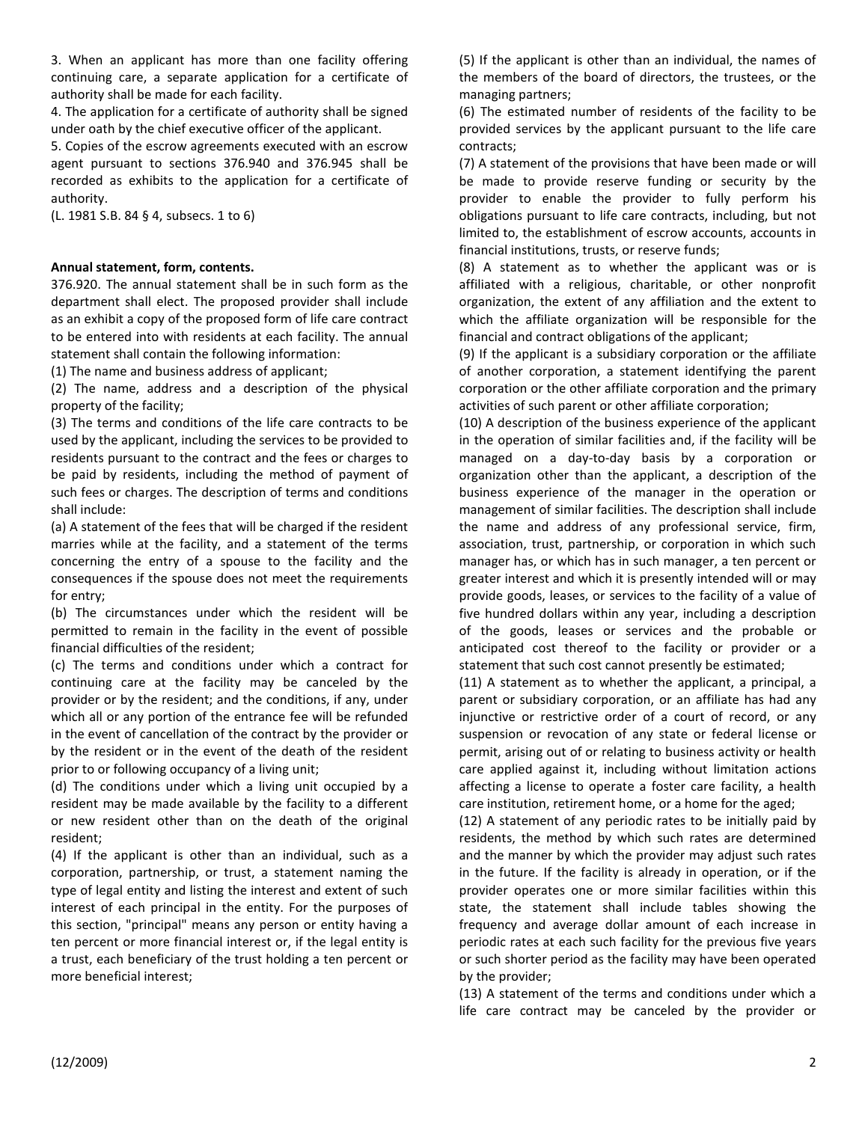3. When an applicant has more than one facility offering continuing care, a separate application for a certificate of authority shall be made for each facility.

4. The application for a certificate of authority shall be signed under oath by the chief executive officer of the applicant.

5. Copies of the escrow agreements executed with an escrow agent pursuant to sections 376.940 and 376.945 shall be recorded as exhibits to the application for a certificate of authority.

(L. 1981 S.B. 84 § 4, subsecs. 1 to 6)

# **Annual statement, form, contents.**

376.920. The annual statement shall be in such form as the department shall elect. The proposed provider shall include as an exhibit a copy of the proposed form of life care contract to be entered into with residents at each facility. The annual statement shall contain the following information:

(1) The name and business address of applicant;

(2) The name, address and a description of the physical property of the facility;

(3) The terms and conditions of the life care contracts to be used by the applicant, including the services to be provided to residents pursuant to the contract and the fees or charges to be paid by residents, including the method of payment of such fees or charges. The description of terms and conditions shall include:

(a) A statement of the fees that will be charged if the resident marries while at the facility, and a statement of the terms concerning the entry of a spouse to the facility and the consequences if the spouse does not meet the requirements for entry;

(b) The circumstances under which the resident will be permitted to remain in the facility in the event of possible financial difficulties of the resident;

(c) The terms and conditions under which a contract for continuing care at the facility may be canceled by the provider or by the resident; and the conditions, if any, under which all or any portion of the entrance fee will be refunded in the event of cancellation of the contract by the provider or by the resident or in the event of the death of the resident prior to or following occupancy of a living unit;

(d) The conditions under which a living unit occupied by a resident may be made available by the facility to a different or new resident other than on the death of the original resident;

(4) If the applicant is other than an individual, such as a corporation, partnership, or trust, a statement naming the type of legal entity and listing the interest and extent of such interest of each principal in the entity. For the purposes of this section, "principal" means any person or entity having a ten percent or more financial interest or, if the legal entity is a trust, each beneficiary of the trust holding a ten percent or more beneficial interest;

(5) If the applicant is other than an individual, the names of the members of the board of directors, the trustees, or the managing partners;

(6) The estimated number of residents of the facility to be provided services by the applicant pursuant to the life care contracts;

(7) A statement of the provisions that have been made or will be made to provide reserve funding or security by the provider to enable the provider to fully perform his obligations pursuant to life care contracts, including, but not limited to, the establishment of escrow accounts, accounts in financial institutions, trusts, or reserve funds;

(8) A statement as to whether the applicant was or is affiliated with a religious, charitable, or other nonprofit organization, the extent of any affiliation and the extent to which the affiliate organization will be responsible for the financial and contract obligations of the applicant;

(9) If the applicant is a subsidiary corporation or the affiliate of another corporation, a statement identifying the parent corporation or the other affiliate corporation and the primary activities of such parent or other affiliate corporation;

(10) A description of the business experience of the applicant in the operation of similar facilities and, if the facility will be managed on a day-to-day basis by a corporation or organization other than the applicant, a description of the business experience of the manager in the operation or management of similar facilities. The description shall include the name and address of any professional service, firm, association, trust, partnership, or corporation in which such manager has, or which has in such manager, a ten percent or greater interest and which it is presently intended will or may provide goods, leases, or services to the facility of a value of five hundred dollars within any year, including a description of the goods, leases or services and the probable or anticipated cost thereof to the facility or provider or a statement that such cost cannot presently be estimated;

(11) A statement as to whether the applicant, a principal, a parent or subsidiary corporation, or an affiliate has had any injunctive or restrictive order of a court of record, or any suspension or revocation of any state or federal license or permit, arising out of or relating to business activity or health care applied against it, including without limitation actions affecting a license to operate a foster care facility, a health care institution, retirement home, or a home for the aged;

(12) A statement of any periodic rates to be initially paid by residents, the method by which such rates are determined and the manner by which the provider may adjust such rates in the future. If the facility is already in operation, or if the provider operates one or more similar facilities within this state, the statement shall include tables showing the frequency and average dollar amount of each increase in periodic rates at each such facility for the previous five years or such shorter period as the facility may have been operated by the provider;

(13) A statement of the terms and conditions under which a life care contract may be canceled by the provider or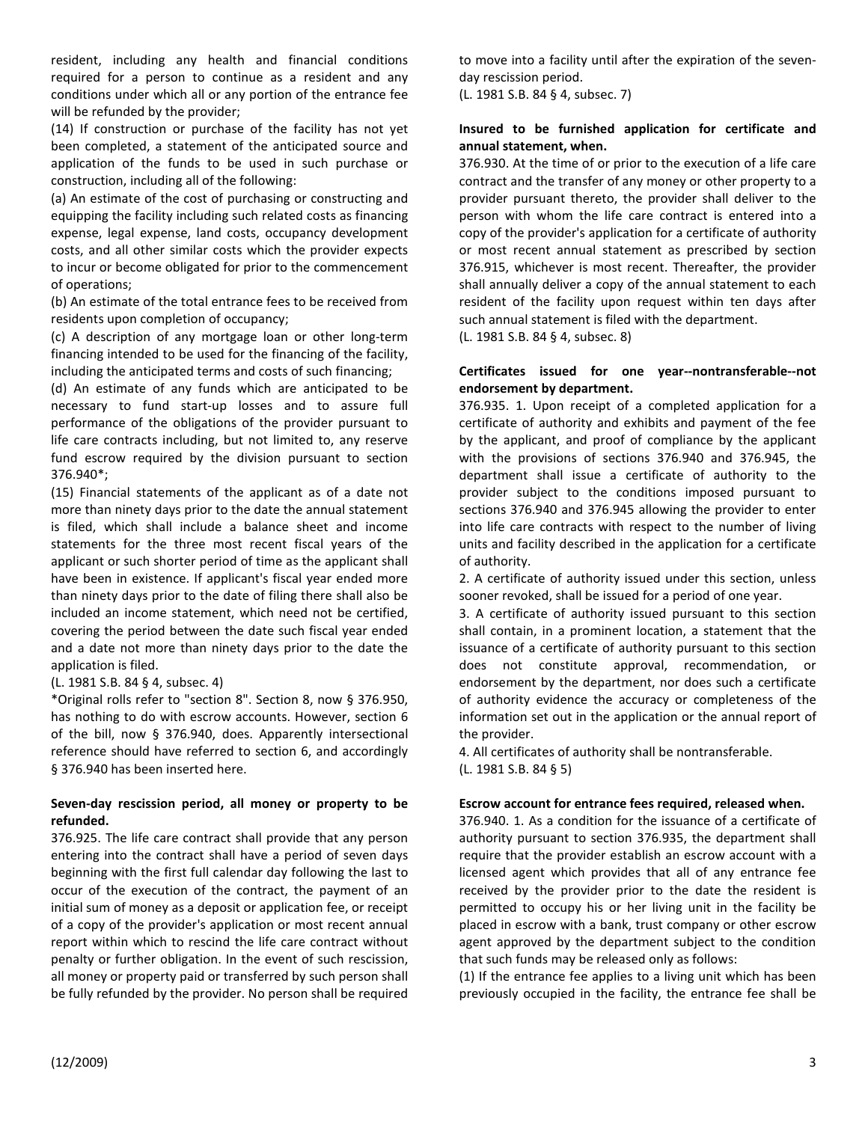resident, including any health and financial conditions required for a person to continue as a resident and any conditions under which all or any portion of the entrance fee will be refunded by the provider;

(14) If construction or purchase of the facility has not yet been completed, a statement of the anticipated source and application of the funds to be used in such purchase or construction, including all of the following:

(a) An estimate of the cost of purchasing or constructing and equipping the facility including such related costs as financing expense, legal expense, land costs, occupancy development costs, and all other similar costs which the provider expects to incur or become obligated for prior to the commencement of operations;

(b) An estimate of the total entrance fees to be received from residents upon completion of occupancy;

(c) A description of any mortgage loan or other long-term financing intended to be used for the financing of the facility, including the anticipated terms and costs of such financing;

(d) An estimate of any funds which are anticipated to be necessary to fund start-up losses and to assure full performance of the obligations of the provider pursuant to life care contracts including, but not limited to, any reserve fund escrow required by the division pursuant to section 376.940\*;

(15) Financial statements of the applicant as of a date not more than ninety days prior to the date the annual statement is filed, which shall include a balance sheet and income statements for the three most recent fiscal years of the applicant or such shorter period of time as the applicant shall have been in existence. If applicant's fiscal year ended more than ninety days prior to the date of filing there shall also be included an income statement, which need not be certified, covering the period between the date such fiscal year ended and a date not more than ninety days prior to the date the application is filed.

# (L. 1981 S.B. 84 § 4, subsec. 4)

\*Original rolls refer to "section 8". Section 8, now § 376.950, has nothing to do with escrow accounts. However, section 6 of the bill, now § 376.940, does. Apparently intersectional reference should have referred to section 6, and accordingly § 376.940 has been inserted here.

### **Seven-day rescission period, all money or property to be refunded.**

376.925. The life care contract shall provide that any person entering into the contract shall have a period of seven days beginning with the first full calendar day following the last to occur of the execution of the contract, the payment of an initial sum of money as a deposit or application fee, or receipt of a copy of the provider's application or most recent annual report within which to rescind the life care contract without penalty or further obligation. In the event of such rescission, all money or property paid or transferred by such person shall be fully refunded by the provider. No person shall be required to move into a facility until after the expiration of the sevenday rescission period.

(L. 1981 S.B. 84 § 4, subsec. 7)

# **Insured to be furnished application for certificate and annual statement, when.**

376.930. At the time of or prior to the execution of a life care contract and the transfer of any money or other property to a provider pursuant thereto, the provider shall deliver to the person with whom the life care contract is entered into a copy of the provider's application for a certificate of authority or most recent annual statement as prescribed by section 376.915, whichever is most recent. Thereafter, the provider shall annually deliver a copy of the annual statement to each resident of the facility upon request within ten days after such annual statement is filed with the department.

(L. 1981 S.B. 84 § 4, subsec. 8)

### **Certificates issued for one year--nontransferable--not endorsement by department.**

376.935. 1. Upon receipt of a completed application for a certificate of authority and exhibits and payment of the fee by the applicant, and proof of compliance by the applicant with the provisions of sections 376.940 and 376.945, the department shall issue a certificate of authority to the provider subject to the conditions imposed pursuant to sections 376.940 and 376.945 allowing the provider to enter into life care contracts with respect to the number of living units and facility described in the application for a certificate of authority.

2. A certificate of authority issued under this section, unless sooner revoked, shall be issued for a period of one year.

3. A certificate of authority issued pursuant to this section shall contain, in a prominent location, a statement that the issuance of a certificate of authority pursuant to this section does not constitute approval, recommendation, or endorsement by the department, nor does such a certificate of authority evidence the accuracy or completeness of the information set out in the application or the annual report of the provider.

4. All certificates of authority shall be nontransferable. (L. 1981 S.B. 84 § 5)

#### **Escrow account for entrance fees required, released when.**

376.940. 1. As a condition for the issuance of a certificate of authority pursuant to section 376.935, the department shall require that the provider establish an escrow account with a licensed agent which provides that all of any entrance fee received by the provider prior to the date the resident is permitted to occupy his or her living unit in the facility be placed in escrow with a bank, trust company or other escrow agent approved by the department subject to the condition that such funds may be released only as follows:

(1) If the entrance fee applies to a living unit which has been previously occupied in the facility, the entrance fee shall be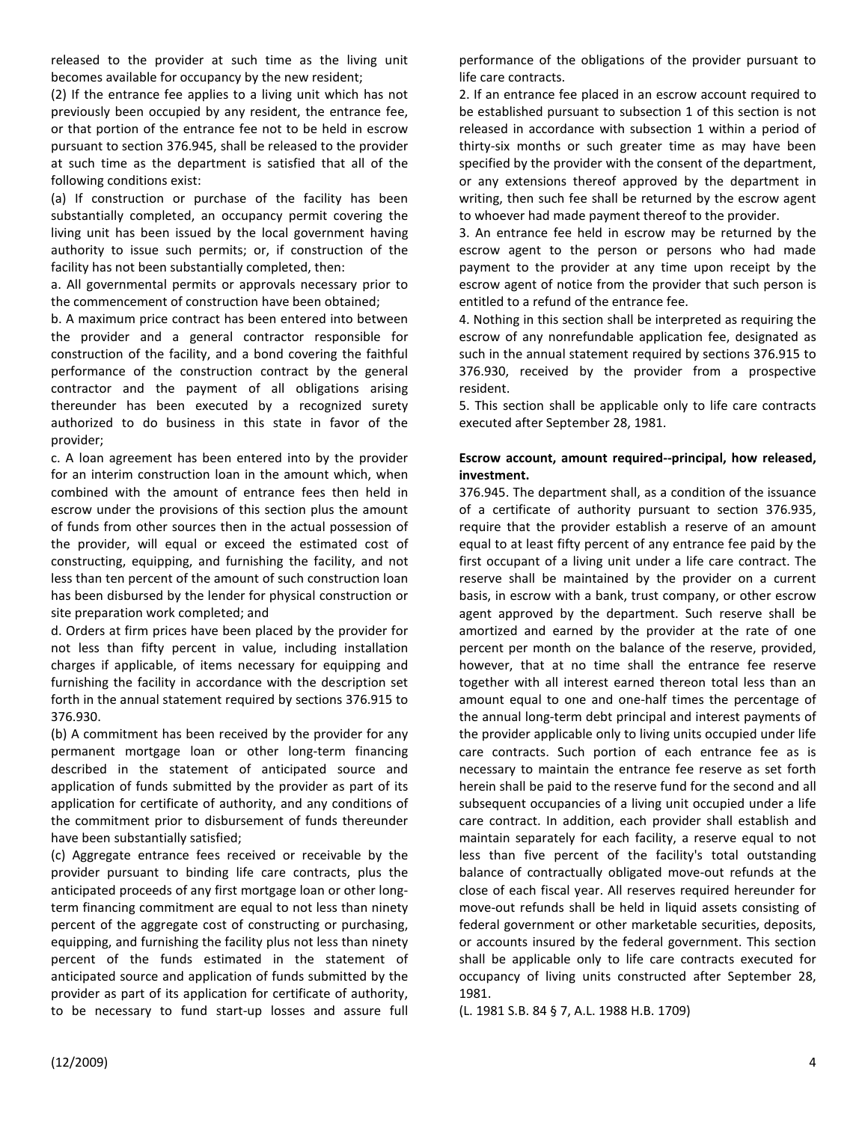released to the provider at such time as the living unit becomes available for occupancy by the new resident;

(2) If the entrance fee applies to a living unit which has not previously been occupied by any resident, the entrance fee, or that portion of the entrance fee not to be held in escrow pursuant to section 376.945, shall be released to the provider at such time as the department is satisfied that all of the following conditions exist:

(a) If construction or purchase of the facility has been substantially completed, an occupancy permit covering the living unit has been issued by the local government having authority to issue such permits; or, if construction of the facility has not been substantially completed, then:

a. All governmental permits or approvals necessary prior to the commencement of construction have been obtained;

b. A maximum price contract has been entered into between the provider and a general contractor responsible for construction of the facility, and a bond covering the faithful performance of the construction contract by the general contractor and the payment of all obligations arising thereunder has been executed by a recognized surety authorized to do business in this state in favor of the provider;

c. A loan agreement has been entered into by the provider for an interim construction loan in the amount which, when combined with the amount of entrance fees then held in escrow under the provisions of this section plus the amount of funds from other sources then in the actual possession of the provider, will equal or exceed the estimated cost of constructing, equipping, and furnishing the facility, and not less than ten percent of the amount of such construction loan has been disbursed by the lender for physical construction or site preparation work completed; and

d. Orders at firm prices have been placed by the provider for not less than fifty percent in value, including installation charges if applicable, of items necessary for equipping and furnishing the facility in accordance with the description set forth in the annual statement required by sections 376.915 to 376.930.

(b) A commitment has been received by the provider for any permanent mortgage loan or other long-term financing described in the statement of anticipated source and application of funds submitted by the provider as part of its application for certificate of authority, and any conditions of the commitment prior to disbursement of funds thereunder have been substantially satisfied;

(c) Aggregate entrance fees received or receivable by the provider pursuant to binding life care contracts, plus the anticipated proceeds of any first mortgage loan or other longterm financing commitment are equal to not less than ninety percent of the aggregate cost of constructing or purchasing, equipping, and furnishing the facility plus not less than ninety percent of the funds estimated in the statement of anticipated source and application of funds submitted by the provider as part of its application for certificate of authority, to be necessary to fund start-up losses and assure full

performance of the obligations of the provider pursuant to life care contracts.

2. If an entrance fee placed in an escrow account required to be established pursuant to subsection 1 of this section is not released in accordance with subsection 1 within a period of thirty-six months or such greater time as may have been specified by the provider with the consent of the department, or any extensions thereof approved by the department in writing, then such fee shall be returned by the escrow agent to whoever had made payment thereof to the provider.

3. An entrance fee held in escrow may be returned by the escrow agent to the person or persons who had made payment to the provider at any time upon receipt by the escrow agent of notice from the provider that such person is entitled to a refund of the entrance fee.

4. Nothing in this section shall be interpreted as requiring the escrow of any nonrefundable application fee, designated as such in the annual statement required by sections 376.915 to 376.930, received by the provider from a prospective resident.

5. This section shall be applicable only to life care contracts executed after September 28, 1981.

# **Escrow account, amount required--principal, how released, investment.**

376.945. The department shall, as a condition of the issuance of a certificate of authority pursuant to section 376.935, require that the provider establish a reserve of an amount equal to at least fifty percent of any entrance fee paid by the first occupant of a living unit under a life care contract. The reserve shall be maintained by the provider on a current basis, in escrow with a bank, trust company, or other escrow agent approved by the department. Such reserve shall be amortized and earned by the provider at the rate of one percent per month on the balance of the reserve, provided, however, that at no time shall the entrance fee reserve together with all interest earned thereon total less than an amount equal to one and one-half times the percentage of the annual long-term debt principal and interest payments of the provider applicable only to living units occupied under life care contracts. Such portion of each entrance fee as is necessary to maintain the entrance fee reserve as set forth herein shall be paid to the reserve fund for the second and all subsequent occupancies of a living unit occupied under a life care contract. In addition, each provider shall establish and maintain separately for each facility, a reserve equal to not less than five percent of the facility's total outstanding balance of contractually obligated move-out refunds at the close of each fiscal year. All reserves required hereunder for move-out refunds shall be held in liquid assets consisting of federal government or other marketable securities, deposits, or accounts insured by the federal government. This section shall be applicable only to life care contracts executed for occupancy of living units constructed after September 28, 1981.

(L. 1981 S.B. 84 § 7, A.L. 1988 H.B. 1709)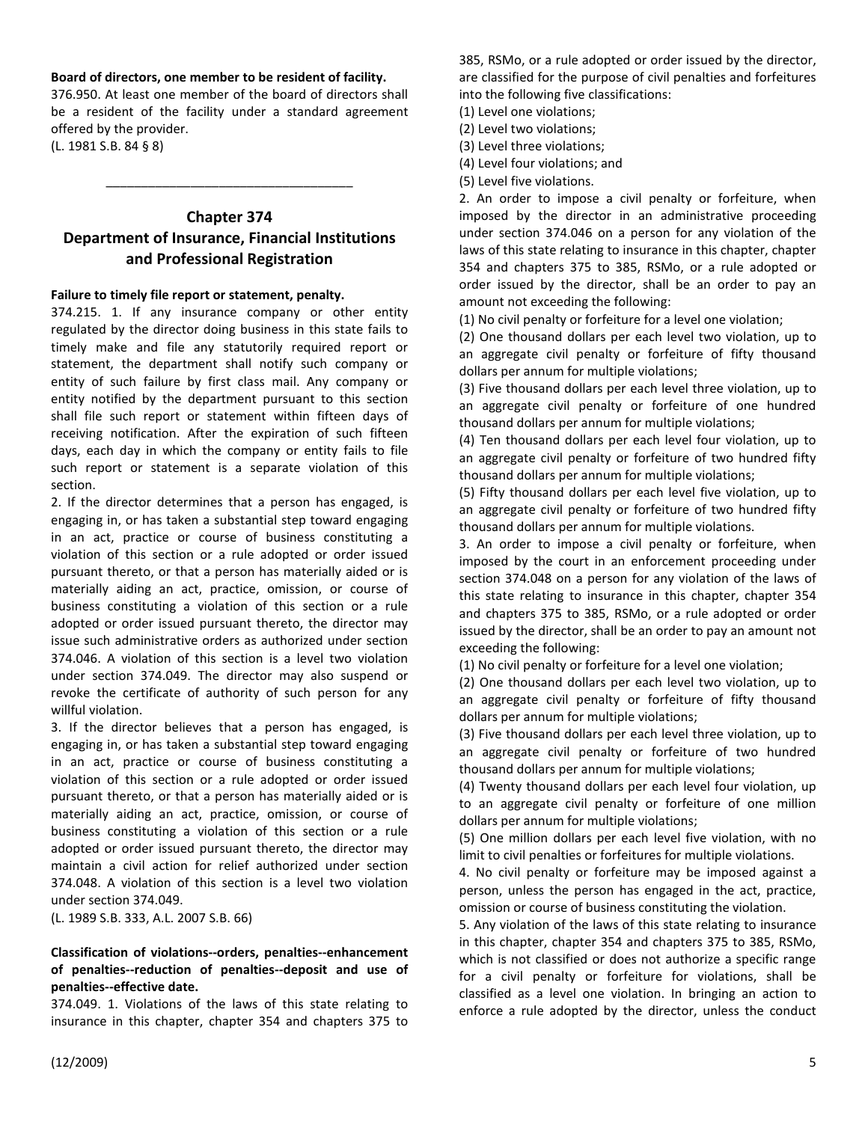### **Board of directors, one member to be resident of facility.**

376.950. At least one member of the board of directors shall be a resident of the facility under a standard agreement offered by the provider.

(L. 1981 S.B. 84 § 8)

# **Chapter 374 Department of Insurance, Financial Institutions and Professional Registration**

\_\_\_\_\_\_\_\_\_\_\_\_\_\_\_\_\_\_\_\_\_\_\_\_\_\_\_\_\_\_\_\_\_\_\_

#### **Failure to timely file report or statement, penalty.**

374.215. 1. If any insurance company or other entity regulated by the director doing business in this state fails to timely make and file any statutorily required report or statement, the department shall notify such company or entity of such failure by first class mail. Any company or entity notified by the department pursuant to this section shall file such report or statement within fifteen days of receiving notification. After the expiration of such fifteen days, each day in which the company or entity fails to file such report or statement is a separate violation of this section.

2. If the director determines that a person has engaged, is engaging in, or has taken a substantial step toward engaging in an act, practice or course of business constituting a violation of this section or a rule adopted or order issued pursuant thereto, or that a person has materially aided or is materially aiding an act, practice, omission, or course of business constituting a violation of this section or a rule adopted or order issued pursuant thereto, the director may issue such administrative orders as authorized under section 374.046. A violation of this section is a level two violation under section 374.049. The director may also suspend or revoke the certificate of authority of such person for any willful violation.

3. If the director believes that a person has engaged, is engaging in, or has taken a substantial step toward engaging in an act, practice or course of business constituting a violation of this section or a rule adopted or order issued pursuant thereto, or that a person has materially aided or is materially aiding an act, practice, omission, or course of business constituting a violation of this section or a rule adopted or order issued pursuant thereto, the director may maintain a civil action for relief authorized under section 374.048. A violation of this section is a level two violation under section 374.049.

(L. 1989 S.B. 333, A.L. 2007 S.B. 66)

#### **Classification of violations--orders, penalties--enhancement of penalties--reduction of penalties--deposit and use of penalties--effective date.**

374.049. 1. Violations of the laws of this state relating to insurance in this chapter, chapter 354 and chapters 375 to

385, RSMo, or a rule adopted or order issued by the director, are classified for the purpose of civil penalties and forfeitures into the following five classifications:

- (1) Level one violations;
- (2) Level two violations;
- (3) Level three violations; (4) Level four violations; and
- 
- (5) Level five violations.

2. An order to impose a civil penalty or forfeiture, when imposed by the director in an administrative proceeding under section 374.046 on a person for any violation of the laws of this state relating to insurance in this chapter, chapter 354 and chapters 375 to 385, RSMo, or a rule adopted or order issued by the director, shall be an order to pay an amount not exceeding the following:

(1) No civil penalty or forfeiture for a level one violation;

(2) One thousand dollars per each level two violation, up to an aggregate civil penalty or forfeiture of fifty thousand dollars per annum for multiple violations;

(3) Five thousand dollars per each level three violation, up to an aggregate civil penalty or forfeiture of one hundred thousand dollars per annum for multiple violations;

(4) Ten thousand dollars per each level four violation, up to an aggregate civil penalty or forfeiture of two hundred fifty thousand dollars per annum for multiple violations;

(5) Fifty thousand dollars per each level five violation, up to an aggregate civil penalty or forfeiture of two hundred fifty thousand dollars per annum for multiple violations.

3. An order to impose a civil penalty or forfeiture, when imposed by the court in an enforcement proceeding under section 374.048 on a person for any violation of the laws of this state relating to insurance in this chapter, chapter 354 and chapters 375 to 385, RSMo, or a rule adopted or order issued by the director, shall be an order to pay an amount not exceeding the following:

(1) No civil penalty or forfeiture for a level one violation;

(2) One thousand dollars per each level two violation, up to an aggregate civil penalty or forfeiture of fifty thousand dollars per annum for multiple violations;

(3) Five thousand dollars per each level three violation, up to an aggregate civil penalty or forfeiture of two hundred thousand dollars per annum for multiple violations;

(4) Twenty thousand dollars per each level four violation, up to an aggregate civil penalty or forfeiture of one million dollars per annum for multiple violations;

(5) One million dollars per each level five violation, with no limit to civil penalties or forfeitures for multiple violations.

4. No civil penalty or forfeiture may be imposed against a person, unless the person has engaged in the act, practice, omission or course of business constituting the violation.

5. Any violation of the laws of this state relating to insurance in this chapter, chapter 354 and chapters 375 to 385, RSMo, which is not classified or does not authorize a specific range for a civil penalty or forfeiture for violations, shall be classified as a level one violation. In bringing an action to enforce a rule adopted by the director, unless the conduct